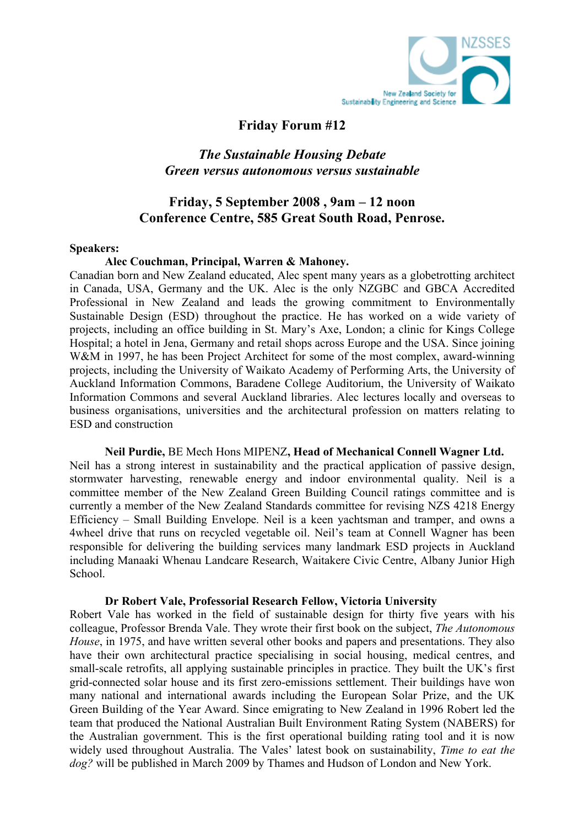

# **Friday Forum #12**

# *The Sustainable Housing Debate Green versus autonomous versus sustainable*

# **Friday, 5 September 2008 , 9am – 12 noon Conference Centre, 585 Great South Road, Penrose.**

#### **Speakers:**

## **Alec Couchman, Principal, Warren & Mahoney.**

Canadian born and New Zealand educated, Alec spent many years as a globetrotting architect in Canada, USA, Germany and the UK. Alec is the only NZGBC and GBCA Accredited Professional in New Zealand and leads the growing commitment to Environmentally Sustainable Design (ESD) throughout the practice. He has worked on a wide variety of projects, including an office building in St. Mary's Axe, London; a clinic for Kings College Hospital; a hotel in Jena, Germany and retail shops across Europe and the USA. Since joining W&M in 1997, he has been Project Architect for some of the most complex, award-winning projects, including the University of Waikato Academy of Performing Arts, the University of Auckland Information Commons, Baradene College Auditorium, the University of Waikato Information Commons and several Auckland libraries. Alec lectures locally and overseas to business organisations, universities and the architectural profession on matters relating to ESD and construction

**Neil Purdie,** BE Mech Hons MIPENZ**, Head of Mechanical Connell Wagner Ltd.** Neil has a strong interest in sustainability and the practical application of passive design, stormwater harvesting, renewable energy and indoor environmental quality. Neil is a committee member of the New Zealand Green Building Council ratings committee and is currently a member of the New Zealand Standards committee for revising NZS 4218 Energy Efficiency – Small Building Envelope. Neil is a keen yachtsman and tramper, and owns a 4wheel drive that runs on recycled vegetable oil. Neil's team at Connell Wagner has been responsible for delivering the building services many landmark ESD projects in Auckland including Manaaki Whenau Landcare Research, Waitakere Civic Centre, Albany Junior High School.

#### **Dr Robert Vale, Professorial Research Fellow, Victoria University**

Robert Vale has worked in the field of sustainable design for thirty five years with his colleague, Professor Brenda Vale. They wrote their first book on the subject, *The Autonomous House*, in 1975, and have written several other books and papers and presentations. They also have their own architectural practice specialising in social housing, medical centres, and small-scale retrofits, all applying sustainable principles in practice. They built the UK's first grid-connected solar house and its first zero-emissions settlement. Their buildings have won many national and international awards including the European Solar Prize, and the UK Green Building of the Year Award. Since emigrating to New Zealand in 1996 Robert led the team that produced the National Australian Built Environment Rating System (NABERS) for the Australian government. This is the first operational building rating tool and it is now widely used throughout Australia. The Vales' latest book on sustainability, *Time to eat the dog?* will be published in March 2009 by Thames and Hudson of London and New York.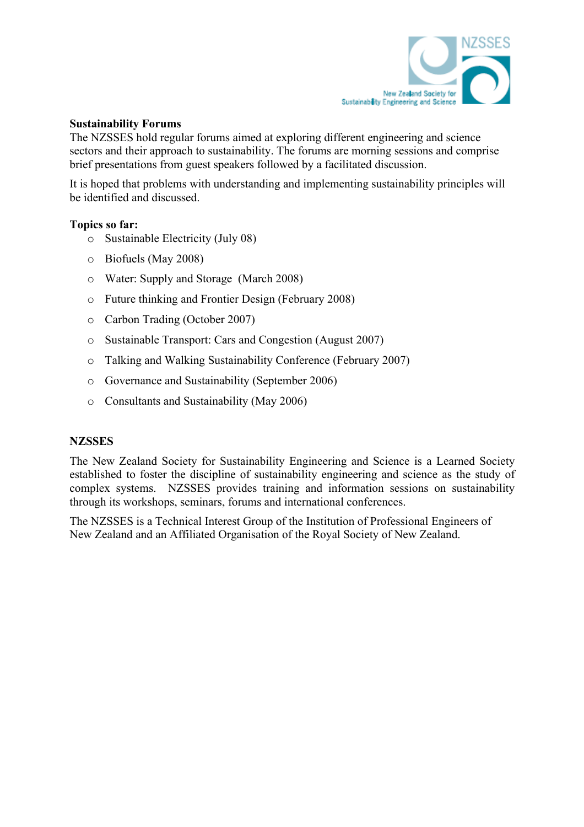

#### **Sustainability Forums**

The NZSSES hold regular forums aimed at exploring different engineering and science sectors and their approach to sustainability. The forums are morning sessions and comprise brief presentations from guest speakers followed by a facilitated discussion.

It is hoped that problems with understanding and implementing sustainability principles will be identified and discussed.

## **Topics so far:**

- o Sustainable Electricity (July 08)
- o Biofuels (May 2008)
- o Water: Supply and Storage (March 2008)
- o Future thinking and Frontier Design (February 2008)
- o Carbon Trading (October 2007)
- o Sustainable Transport: Cars and Congestion (August 2007)
- o Talking and Walking Sustainability Conference (February 2007)
- o Governance and Sustainability (September 2006)
- o Consultants and Sustainability (May 2006)

## **NZSSES**

The New Zealand Society for Sustainability Engineering and Science is a Learned Society established to foster the discipline of sustainability engineering and science as the study of complex systems. NZSSES provides training and information sessions on sustainability through its workshops, seminars, forums and international conferences.

The NZSSES is a Technical Interest Group of the Institution of Professional Engineers of New Zealand and an Affiliated Organisation of the Royal Society of New Zealand.